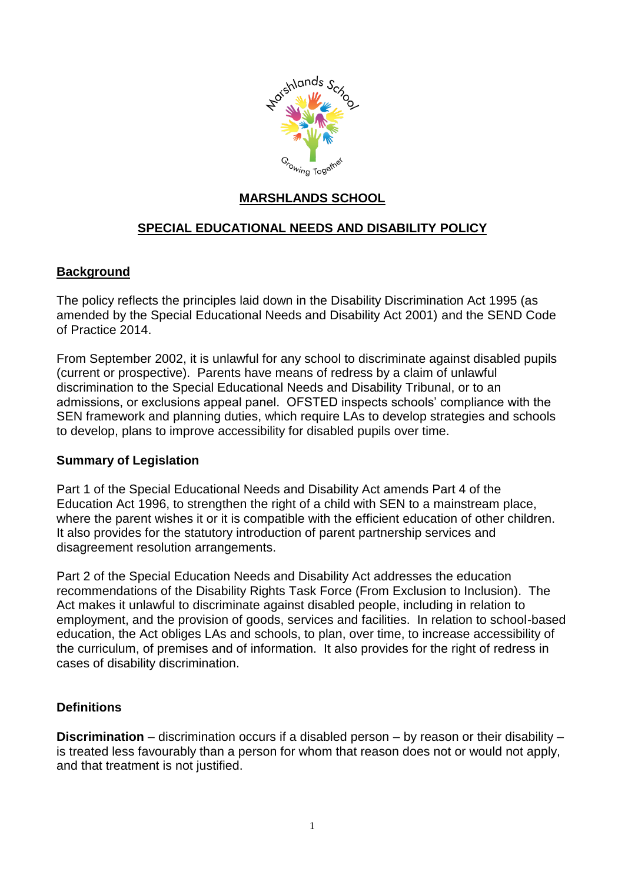

# **MARSHLANDS SCHOOL**

# **SPECIAL EDUCATIONAL NEEDS AND DISABILITY POLICY**

### **Background**

The policy reflects the principles laid down in the Disability Discrimination Act 1995 (as amended by the Special Educational Needs and Disability Act 2001) and the SEND Code of Practice 2014.

From September 2002, it is unlawful for any school to discriminate against disabled pupils (current or prospective). Parents have means of redress by a claim of unlawful discrimination to the Special Educational Needs and Disability Tribunal, or to an admissions, or exclusions appeal panel. OFSTED inspects schools' compliance with the SEN framework and planning duties, which require LAs to develop strategies and schools to develop, plans to improve accessibility for disabled pupils over time.

### **Summary of Legislation**

Part 1 of the Special Educational Needs and Disability Act amends Part 4 of the Education Act 1996, to strengthen the right of a child with SEN to a mainstream place, where the parent wishes it or it is compatible with the efficient education of other children. It also provides for the statutory introduction of parent partnership services and disagreement resolution arrangements.

Part 2 of the Special Education Needs and Disability Act addresses the education recommendations of the Disability Rights Task Force (From Exclusion to Inclusion). The Act makes it unlawful to discriminate against disabled people, including in relation to employment, and the provision of goods, services and facilities. In relation to school-based education, the Act obliges LAs and schools, to plan, over time, to increase accessibility of the curriculum, of premises and of information. It also provides for the right of redress in cases of disability discrimination.

### **Definitions**

**Discrimination** – discrimination occurs if a disabled person – by reason or their disability – is treated less favourably than a person for whom that reason does not or would not apply, and that treatment is not justified.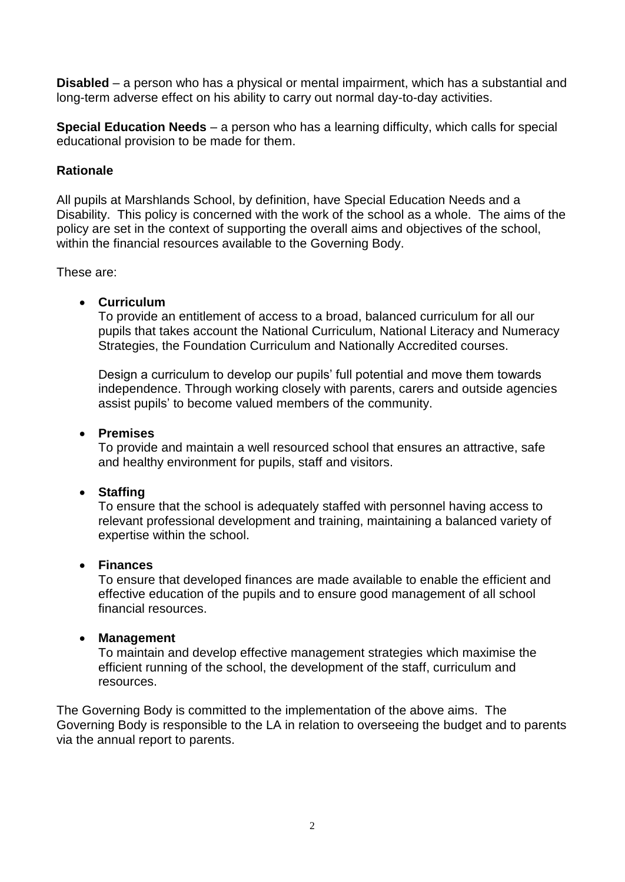**Disabled** – a person who has a physical or mental impairment, which has a substantial and long-term adverse effect on his ability to carry out normal day-to-day activities.

**Special Education Needs** – a person who has a learning difficulty, which calls for special educational provision to be made for them.

### **Rationale**

All pupils at Marshlands School, by definition, have Special Education Needs and a Disability. This policy is concerned with the work of the school as a whole. The aims of the policy are set in the context of supporting the overall aims and objectives of the school, within the financial resources available to the Governing Body.

These are:

### **Curriculum**

To provide an entitlement of access to a broad, balanced curriculum for all our pupils that takes account the National Curriculum, National Literacy and Numeracy Strategies, the Foundation Curriculum and Nationally Accredited courses.

Design a curriculum to develop our pupils' full potential and move them towards independence. Through working closely with parents, carers and outside agencies assist pupils' to become valued members of the community.

### **Premises**

To provide and maintain a well resourced school that ensures an attractive, safe and healthy environment for pupils, staff and visitors.

### **Staffing**

To ensure that the school is adequately staffed with personnel having access to relevant professional development and training, maintaining a balanced variety of expertise within the school.

### **Finances**

To ensure that developed finances are made available to enable the efficient and effective education of the pupils and to ensure good management of all school financial resources.

### **Management**

To maintain and develop effective management strategies which maximise the efficient running of the school, the development of the staff, curriculum and resources.

The Governing Body is committed to the implementation of the above aims. The Governing Body is responsible to the LA in relation to overseeing the budget and to parents via the annual report to parents.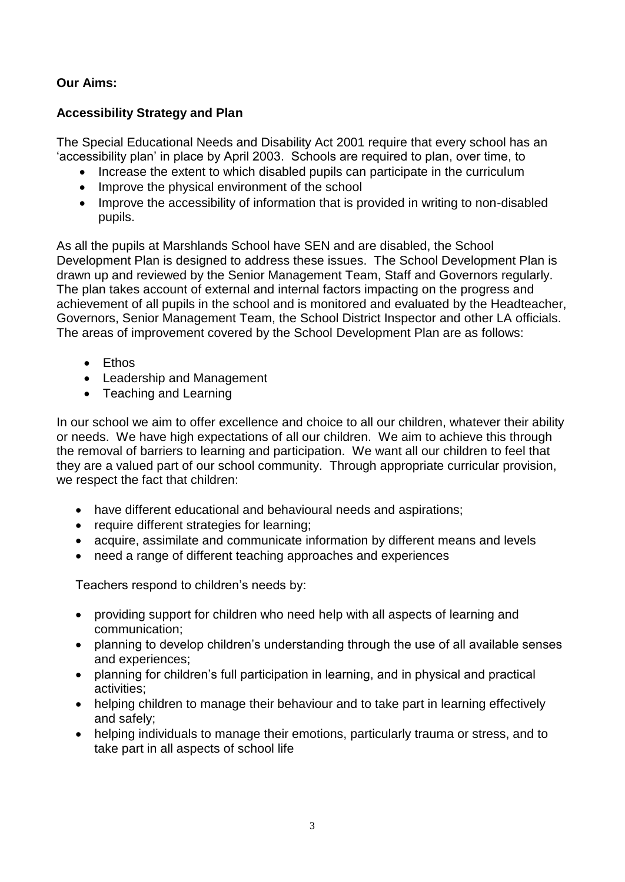# **Our Aims:**

# **Accessibility Strategy and Plan**

The Special Educational Needs and Disability Act 2001 require that every school has an 'accessibility plan' in place by April 2003. Schools are required to plan, over time, to

- Increase the extent to which disabled pupils can participate in the curriculum
- Improve the physical environment of the school
- Improve the accessibility of information that is provided in writing to non-disabled pupils.

As all the pupils at Marshlands School have SEN and are disabled, the School Development Plan is designed to address these issues. The School Development Plan is drawn up and reviewed by the Senior Management Team, Staff and Governors regularly. The plan takes account of external and internal factors impacting on the progress and achievement of all pupils in the school and is monitored and evaluated by the Headteacher, Governors, Senior Management Team, the School District Inspector and other LA officials. The areas of improvement covered by the School Development Plan are as follows:

- Fthos
- Leadership and Management
- Teaching and Learning

In our school we aim to offer excellence and choice to all our children, whatever their ability or needs. We have high expectations of all our children. We aim to achieve this through the removal of barriers to learning and participation. We want all our children to feel that they are a valued part of our school community. Through appropriate curricular provision, we respect the fact that children:

- have different educational and behavioural needs and aspirations;
- require different strategies for learning;
- acquire, assimilate and communicate information by different means and levels
- need a range of different teaching approaches and experiences

Teachers respond to children's needs by:

- providing support for children who need help with all aspects of learning and communication;
- planning to develop children's understanding through the use of all available senses and experiences;
- planning for children's full participation in learning, and in physical and practical activities;
- helping children to manage their behaviour and to take part in learning effectively and safely;
- helping individuals to manage their emotions, particularly trauma or stress, and to take part in all aspects of school life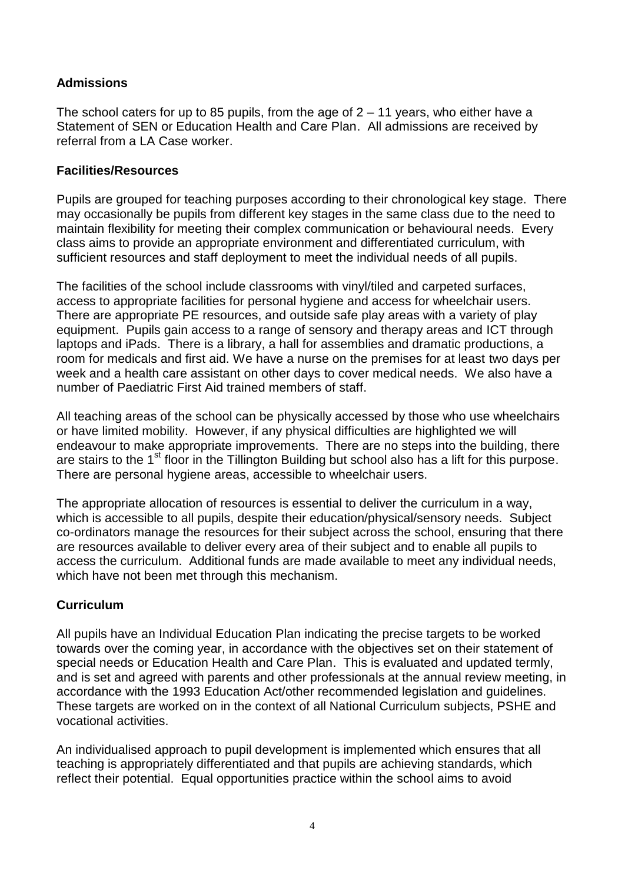# **Admissions**

The school caters for up to 85 pupils, from the age of  $2 - 11$  years, who either have a Statement of SEN or Education Health and Care Plan. All admissions are received by referral from a LA Case worker.

## **Facilities/Resources**

Pupils are grouped for teaching purposes according to their chronological key stage. There may occasionally be pupils from different key stages in the same class due to the need to maintain flexibility for meeting their complex communication or behavioural needs. Every class aims to provide an appropriate environment and differentiated curriculum, with sufficient resources and staff deployment to meet the individual needs of all pupils.

The facilities of the school include classrooms with vinyl/tiled and carpeted surfaces, access to appropriate facilities for personal hygiene and access for wheelchair users. There are appropriate PE resources, and outside safe play areas with a variety of play equipment. Pupils gain access to a range of sensory and therapy areas and ICT through laptops and iPads. There is a library, a hall for assemblies and dramatic productions, a room for medicals and first aid. We have a nurse on the premises for at least two days per week and a health care assistant on other days to cover medical needs. We also have a number of Paediatric First Aid trained members of staff.

All teaching areas of the school can be physically accessed by those who use wheelchairs or have limited mobility. However, if any physical difficulties are highlighted we will endeavour to make appropriate improvements. There are no steps into the building, there are stairs to the 1<sup>st</sup> floor in the Tillington Building but school also has a lift for this purpose. There are personal hygiene areas, accessible to wheelchair users.

The appropriate allocation of resources is essential to deliver the curriculum in a way, which is accessible to all pupils, despite their education/physical/sensory needs. Subject co-ordinators manage the resources for their subject across the school, ensuring that there are resources available to deliver every area of their subject and to enable all pupils to access the curriculum. Additional funds are made available to meet any individual needs, which have not been met through this mechanism.

## **Curriculum**

All pupils have an Individual Education Plan indicating the precise targets to be worked towards over the coming year, in accordance with the objectives set on their statement of special needs or Education Health and Care Plan. This is evaluated and updated termly, and is set and agreed with parents and other professionals at the annual review meeting, in accordance with the 1993 Education Act/other recommended legislation and guidelines. These targets are worked on in the context of all National Curriculum subjects, PSHE and vocational activities.

An individualised approach to pupil development is implemented which ensures that all teaching is appropriately differentiated and that pupils are achieving standards, which reflect their potential. Equal opportunities practice within the school aims to avoid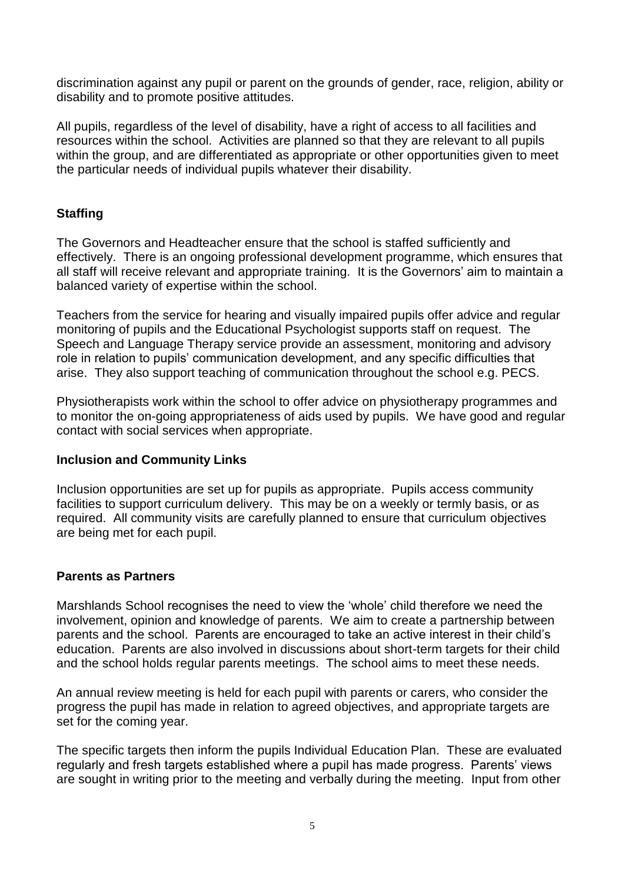discrimination against any pupil or parent on the grounds of gender, race, religion, ability or disability and to promote positive attitudes.

All pupils, regardless of the level of disability, have a right of access to all facilities and resources within the school. Activities are planned so that they are relevant to all pupils within the group, and are differentiated as appropriate or other opportunities given to meet the particular needs of individual pupils whatever their disability.

## **Staffing**

The Governors and Headteacher ensure that the school is staffed sufficiently and effectively. There is an ongoing professional development programme, which ensures that all staff will receive relevant and appropriate training. It is the Governors' aim to maintain a balanced variety of expertise within the school.

Teachers from the service for hearing and visually impaired pupils offer advice and regular monitoring of pupils and the Educational Psychologist supports staff on request. The Speech and Language Therapy service provide an assessment, monitoring and advisory role in relation to pupils' communication development, and any specific difficulties that arise. They also support teaching of communication throughout the school e.g. PECS.

Physiotherapists work within the school to offer advice on physiotherapy programmes and to monitor the on-going appropriateness of aids used by pupils. We have good and regular contact with social services when appropriate.

### **Inclusion and Community Links**

Inclusion opportunities are set up for pupils as appropriate. Pupils access community facilities to support curriculum delivery. This may be on a weekly or termly basis, or as required. All community visits are carefully planned to ensure that curriculum objectives are being met for each pupil.

### **Parents as Partners**

Marshlands School recognises the need to view the 'whole' child therefore we need the involvement, opinion and knowledge of parents. We aim to create a partnership between parents and the school. Parents are encouraged to take an active interest in their child's education. Parents are also involved in discussions about short-term targets for their child and the school holds regular parents meetings. The school aims to meet these needs.

An annual review meeting is held for each pupil with parents or carers, who consider the progress the pupil has made in relation to agreed objectives, and appropriate targets are set for the coming year.

The specific targets then inform the pupils Individual Education Plan. These are evaluated regularly and fresh targets established where a pupil has made progress. Parents' views are sought in writing prior to the meeting and verbally during the meeting. Input from other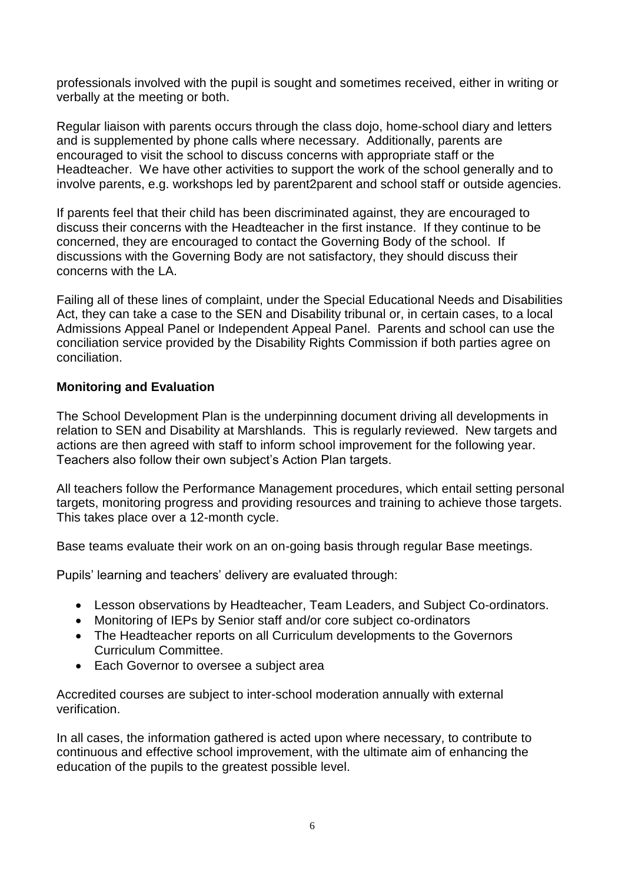professionals involved with the pupil is sought and sometimes received, either in writing or verbally at the meeting or both.

Regular liaison with parents occurs through the class dojo, home-school diary and letters and is supplemented by phone calls where necessary. Additionally, parents are encouraged to visit the school to discuss concerns with appropriate staff or the Headteacher. We have other activities to support the work of the school generally and to involve parents, e.g. workshops led by parent2parent and school staff or outside agencies.

If parents feel that their child has been discriminated against, they are encouraged to discuss their concerns with the Headteacher in the first instance. If they continue to be concerned, they are encouraged to contact the Governing Body of the school. If discussions with the Governing Body are not satisfactory, they should discuss their concerns with the LA.

Failing all of these lines of complaint, under the Special Educational Needs and Disabilities Act, they can take a case to the SEN and Disability tribunal or, in certain cases, to a local Admissions Appeal Panel or Independent Appeal Panel. Parents and school can use the conciliation service provided by the Disability Rights Commission if both parties agree on conciliation.

### **Monitoring and Evaluation**

The School Development Plan is the underpinning document driving all developments in relation to SEN and Disability at Marshlands. This is regularly reviewed. New targets and actions are then agreed with staff to inform school improvement for the following year. Teachers also follow their own subject's Action Plan targets.

All teachers follow the Performance Management procedures, which entail setting personal targets, monitoring progress and providing resources and training to achieve those targets. This takes place over a 12-month cycle.

Base teams evaluate their work on an on-going basis through regular Base meetings.

Pupils' learning and teachers' delivery are evaluated through:

- Lesson observations by Headteacher, Team Leaders, and Subject Co-ordinators.
- Monitoring of IEPs by Senior staff and/or core subject co-ordinators
- The Headteacher reports on all Curriculum developments to the Governors Curriculum Committee.
- Each Governor to oversee a subject area

Accredited courses are subject to inter-school moderation annually with external verification.

In all cases, the information gathered is acted upon where necessary, to contribute to continuous and effective school improvement, with the ultimate aim of enhancing the education of the pupils to the greatest possible level.